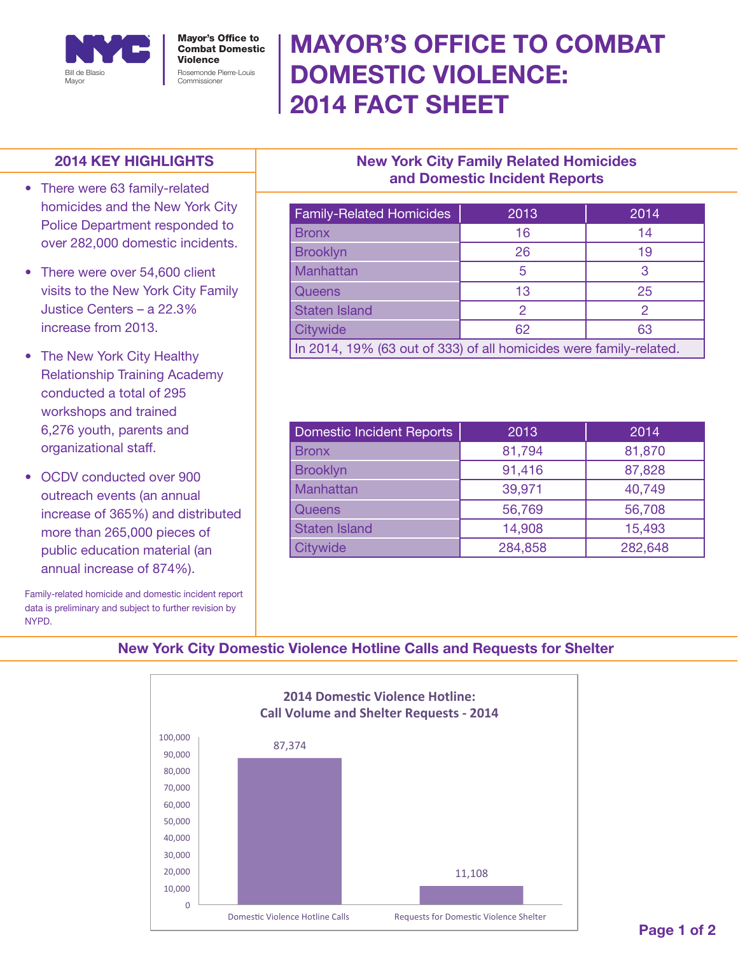

# MAYOR'S OFFICE TO COMBAT DOMESTIC VIOLENCE: 2014 FACT SHEET

#### 2014 KEY HIGHLIGHTS

- There were 63 family-related homicides and the New York City Police Department responded to over 282,000 domestic incidents.
- There were over 54,600 client visits to the New York City Family Justice Centers – a 22.3% increase from 2013.
- The New York City Healthy Relationship Training Academy conducted a total of 295 workshops and trained 6,276 youth, parents and organizational staff.
- OCDV conducted over 900 outreach events (an annual increase of 365%) and distributed more than 265,000 pieces of public education material (an annual increase of 874%).

Family-related homicide and domestic incident report data is preliminary and subject to further revision by NYPD.

## New York City Family Related Homicides and Domestic Incident Reports

| <b>Family-Related Homicides</b>                                    | 2013 | 2014 |
|--------------------------------------------------------------------|------|------|
| <b>Bronx</b>                                                       | 16   | 14   |
| <b>Brooklyn</b>                                                    | 26   | 19   |
| Manhattan                                                          | 5    | З    |
| Queens                                                             | 13   | 25   |
| <b>Staten Island</b>                                               | 2    |      |
| Citywide                                                           | 62   | 63   |
| In 2014, 19% (63 out of 333) of all homicides were family-related. |      |      |

| Domestic Incident Reports | 2013    | 2014    |
|---------------------------|---------|---------|
| <b>Bronx</b>              | 81,794  | 81,870  |
| <b>Brooklyn</b>           | 91,416  | 87,828  |
| Manhattan                 | 39,971  | 40,749  |
| <b>Queens</b>             | 56,769  | 56,708  |
| <b>Staten Island</b>      | 14,908  | 15,493  |
| Citywide                  | 284,858 | 282,648 |

### New York City Domestic Violence Hotline Calls and Requests for Shelter